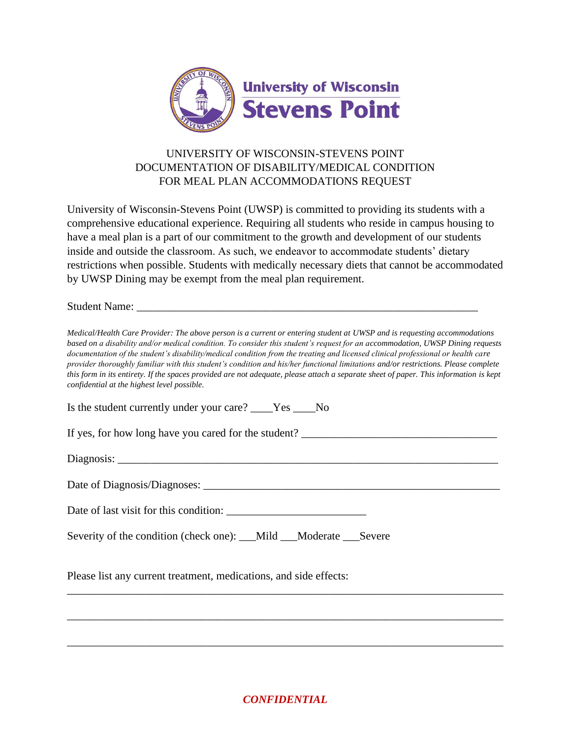

## UNIVERSITY OF WISCONSIN-STEVENS POINT DOCUMENTATION OF DISABILITY/MEDICAL CONDITION FOR MEAL PLAN ACCOMMODATIONS REQUEST

University of Wisconsin-Stevens Point (UWSP) is committed to providing its students with a comprehensive educational experience. Requiring all students who reside in campus housing to have a meal plan is a part of our commitment to the growth and development of our students inside and outside the classroom. As such, we endeavor to accommodate students' dietary restrictions when possible. Students with medically necessary diets that cannot be accommodated by UWSP Dining may be exempt from the meal plan requirement.

Student Name:

*Medical/Health Care Provider: The above person is a current or entering student at UWSP and is requesting accommodations based on a disability and/or medical condition. To consider this student's request for an accommodation, UWSP Dining requests documentation of the student's disability/medical condition from the treating and licensed clinical professional or health care provider thoroughly familiar with this student's condition and his/her functional limitations and/or restrictions. Please complete this form in its entirety. If the spaces provided are not adequate, please attach a separate sheet of paper. This information is kept confidential at the highest level possible.* 

Is the student currently under your care? \_\_\_\_Yes \_\_\_\_No If yes, for how long have you cared for the student? \_\_\_\_\_\_\_\_\_\_\_\_\_\_\_\_\_\_\_\_\_\_\_\_\_\_\_\_\_\_\_\_\_\_\_

Diagnosis: \_\_\_\_\_\_\_\_\_\_\_\_\_\_\_\_\_\_\_\_\_\_\_\_\_\_\_\_\_\_\_\_\_\_\_\_\_\_\_\_\_\_\_\_\_\_\_\_\_\_\_\_\_\_\_\_\_\_\_\_\_\_\_\_\_\_\_\_

Date of Diagnosis/Diagnoses: \_\_\_\_\_\_\_\_\_\_\_\_\_\_\_\_\_\_\_\_\_\_\_\_\_\_\_\_\_\_\_\_\_\_\_\_\_\_\_\_\_\_\_\_\_\_\_\_\_\_\_\_\_

| Date of last visit for this condition: |  |
|----------------------------------------|--|
|----------------------------------------|--|

Severity of the condition (check one): \_\_\_Mild \_\_\_Moderate \_\_\_ Severe

Please list any current treatment, medications, and side effects:

*CONFIDENTIAL*

\_\_\_\_\_\_\_\_\_\_\_\_\_\_\_\_\_\_\_\_\_\_\_\_\_\_\_\_\_\_\_\_\_\_\_\_\_\_\_\_\_\_\_\_\_\_\_\_\_\_\_\_\_\_\_\_\_\_\_\_\_\_\_\_\_\_\_\_\_\_\_\_\_\_\_\_\_\_

\_\_\_\_\_\_\_\_\_\_\_\_\_\_\_\_\_\_\_\_\_\_\_\_\_\_\_\_\_\_\_\_\_\_\_\_\_\_\_\_\_\_\_\_\_\_\_\_\_\_\_\_\_\_\_\_\_\_\_\_\_\_\_\_\_\_\_\_\_\_\_\_\_\_\_\_\_\_

\_\_\_\_\_\_\_\_\_\_\_\_\_\_\_\_\_\_\_\_\_\_\_\_\_\_\_\_\_\_\_\_\_\_\_\_\_\_\_\_\_\_\_\_\_\_\_\_\_\_\_\_\_\_\_\_\_\_\_\_\_\_\_\_\_\_\_\_\_\_\_\_\_\_\_\_\_\_